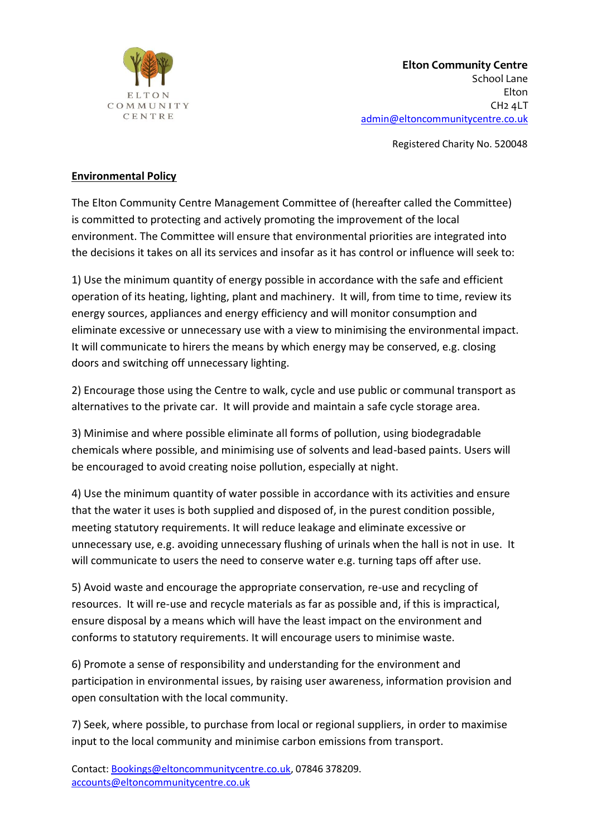

Registered Charity No. 520048

## **Environmental Policy**

The Elton Community Centre Management Committee of (hereafter called the Committee) is committed to protecting and actively promoting the improvement of the local environment. The Committee will ensure that environmental priorities are integrated into the decisions it takes on all its services and insofar as it has control or influence will seek to:

1) Use the minimum quantity of energy possible in accordance with the safe and efficient operation of its heating, lighting, plant and machinery. It will, from time to time, review its energy sources, appliances and energy efficiency and will monitor consumption and eliminate excessive or unnecessary use with a view to minimising the environmental impact. It will communicate to hirers the means by which energy may be conserved, e.g. closing doors and switching off unnecessary lighting.

2) Encourage those using the Centre to walk, cycle and use public or communal transport as alternatives to the private car. It will provide and maintain a safe cycle storage area.

3) Minimise and where possible eliminate all forms of pollution, using biodegradable chemicals where possible, and minimising use of solvents and lead-based paints. Users will be encouraged to avoid creating noise pollution, especially at night.

4) Use the minimum quantity of water possible in accordance with its activities and ensure that the water it uses is both supplied and disposed of, in the purest condition possible, meeting statutory requirements. It will reduce leakage and eliminate excessive or unnecessary use, e.g. avoiding unnecessary flushing of urinals when the hall is not in use. It will communicate to users the need to conserve water e.g. turning taps off after use.

5) Avoid waste and encourage the appropriate conservation, re-use and recycling of resources. It will re-use and recycle materials as far as possible and, if this is impractical, ensure disposal by a means which will have the least impact on the environment and conforms to statutory requirements. It will encourage users to minimise waste.

6) Promote a sense of responsibility and understanding for the environment and participation in environmental issues, by raising user awareness, information provision and open consultation with the local community.

7) Seek, where possible, to purchase from local or regional suppliers, in order to maximise input to the local community and minimise carbon emissions from transport.